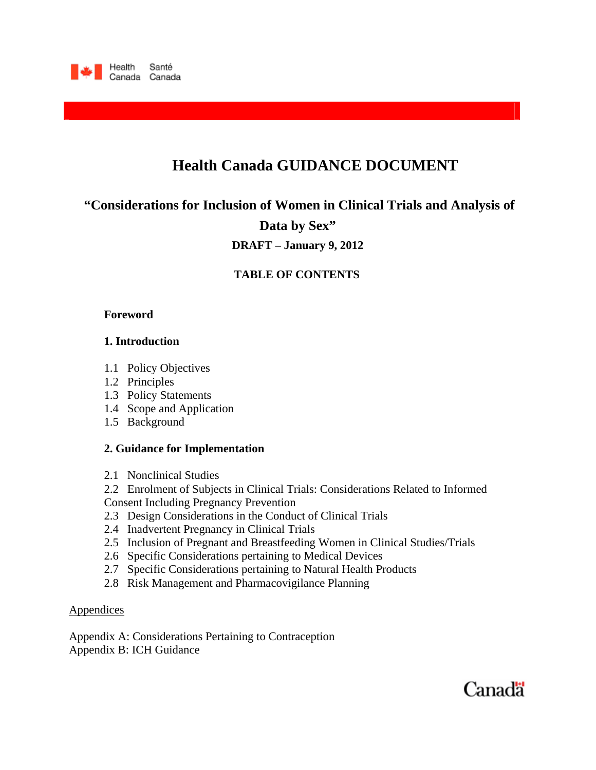

# **Health Canada GUIDANCE DOCUMENT**

**"Considerations for Inclusion of Women in Clinical Trials and Analysis of Data by Sex"** 

**DRAFT – January 9, 2012** 

# **TABLE OF CONTENTS**

### **Foreword**

## **1. Introduction**

- 1.1 Policy Objectives
- 1.2 Principles
- 1.3 Policy Statements
- 1.4 Scope and Application
- 1.5 Background

### **2. Guidance for Implementation**

2.1 Nonclinical Studies

2.2Enrolment of Subjects in Clinical Trials: Considerations Related to Informed Consent Including Pregnancy Prevention

- 2.3 Design Considerations in the Conduct of Clinical Trials
- 2.4 Inadvertent Pregnancy in Clinical Trials
- 2.5 Inclusion of Pregnant and Breastfeeding Women in Clinical Studies/Trials
- 2.6 Specific Considerations pertaining to Medical Devices
- 2.7 Specific Considerations pertaining to Natural Health Products
- 2.8 Risk Management and Pharmacovigilance Planning

#### **Appendices**

Appendix A: Considerations Pertaining to Contraception Appendix B: ICH Guidance

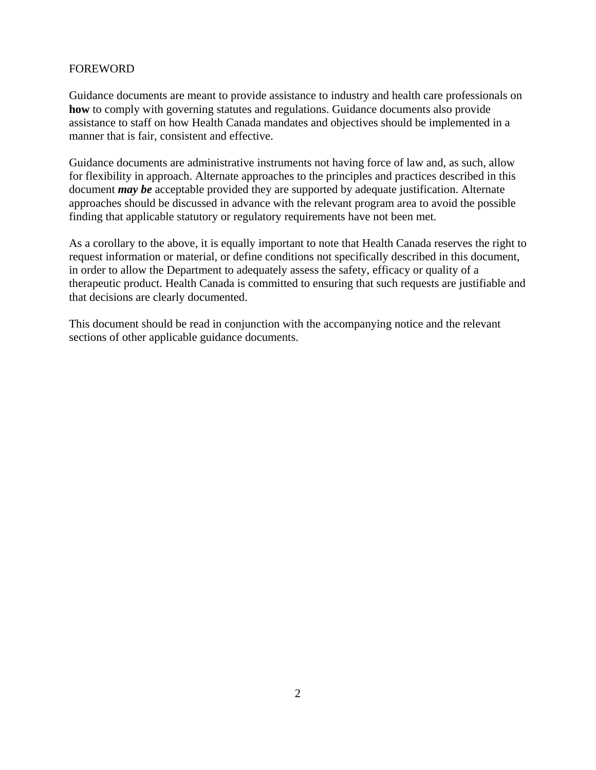### FOREWORD

Guidance documents are meant to provide assistance to industry and health care professionals on **how** to comply with governing statutes and regulations. Guidance documents also provide assistance to staff on how Health Canada mandates and objectives should be implemented in a manner that is fair, consistent and effective.

Guidance documents are administrative instruments not having force of law and, as such, allow for flexibility in approach. Alternate approaches to the principles and practices described in this document *may be* acceptable provided they are supported by adequate justification. Alternate approaches should be discussed in advance with the relevant program area to avoid the possible finding that applicable statutory or regulatory requirements have not been met.

As a corollary to the above, it is equally important to note that Health Canada reserves the right to request information or material, or define conditions not specifically described in this document, in order to allow the Department to adequately assess the safety, efficacy or quality of a therapeutic product. Health Canada is committed to ensuring that such requests are justifiable and that decisions are clearly documented.

This document should be read in conjunction with the accompanying notice and the relevant sections of other applicable guidance documents.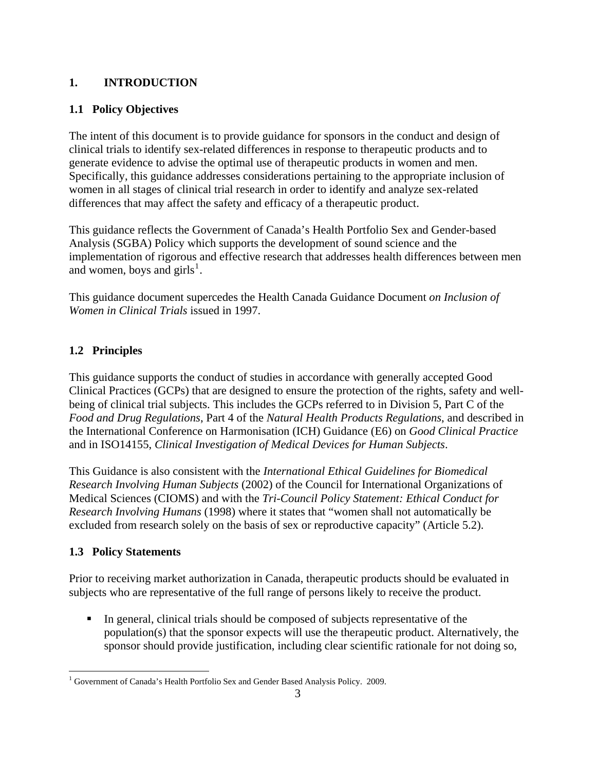# **1. INTRODUCTION**

# **1.1 Policy Objectives**

The intent of this document is to provide guidance for sponsors in the conduct and design of clinical trials to identify sex-related differences in response to therapeutic products and to generate evidence to advise the optimal use of therapeutic products in women and men. Specifically, this guidance addresses considerations pertaining to the appropriate inclusion of women in all stages of clinical trial research in order to identify and analyze sex-related differences that may affect the safety and efficacy of a therapeutic product.

This guidance reflects the Government of Canada's Health Portfolio Sex and Gender-based Analysis (SGBA) Policy which supports the development of sound science and the implementation of rigorous and effective research that addresses health differences between men and women, boys and girls<sup>[1](#page-2-0)</sup>.

This guidance document supercedes the Health Canada Guidance Document *on Inclusion of Women in Clinical Trials* issued in 1997.

# **1.2 Principles**

This guidance supports the conduct of studies in accordance with generally accepted Good Clinical Practices (GCPs) that are designed to ensure the protection of the rights, safety and wellbeing of clinical trial subjects. This includes the GCPs referred to in Division 5, Part C of the *Food and Drug Regulations*, Part 4 of the *Natural Health Products Regulations*, and described in the International Conference on Harmonisation (ICH) Guidance (E6) on *Good Clinical Practice* and in ISO14155, *Clinical Investigation of Medical Devices for Human Subjects*.

This Guidance is also consistent with the *International Ethical Guidelines for Biomedical Research Involving Human Subjects* (2002) of the Council for International Organizations of Medical Sciences (CIOMS) and with the *Tri-Council Policy Statement: Ethical Conduct for Research Involving Humans* (1998) where it states that "women shall not automatically be excluded from research solely on the basis of sex or reproductive capacity" (Article 5.2).

# **1.3 Policy Statements**

Prior to receiving market authorization in Canada, therapeutic products should be evaluated in subjects who are representative of the full range of persons likely to receive the product.

 In general, clinical trials should be composed of subjects representative of the population(s) that the sponsor expects will use the therapeutic product. Alternatively, the sponsor should provide justification, including clear scientific rationale for not doing so,

<span id="page-2-0"></span> $\overline{a}$ <sup>1</sup> Government of Canada's Health Portfolio Sex and Gender Based Analysis Policy. 2009.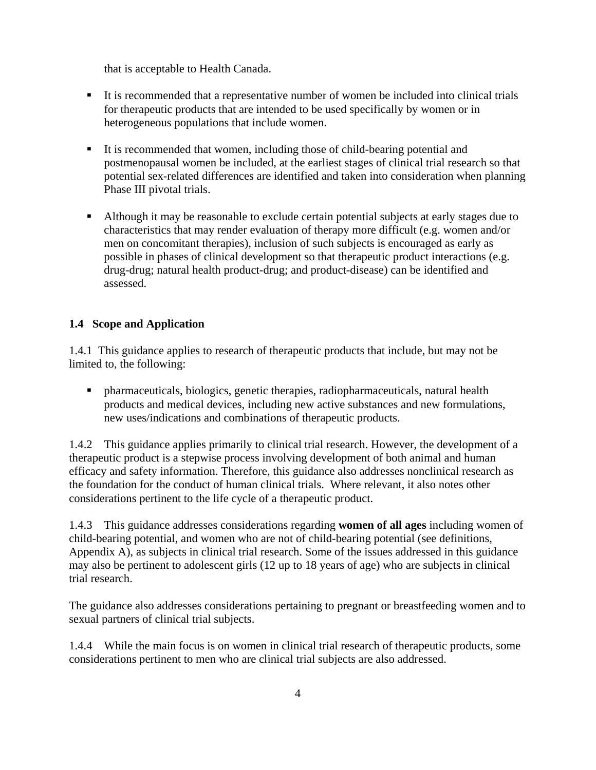that is acceptable to Health Canada.

- It is recommended that a representative number of women be included into clinical trials for therapeutic products that are intended to be used specifically by women or in heterogeneous populations that include women.
- It is recommended that women, including those of child-bearing potential and postmenopausal women be included, at the earliest stages of clinical trial research so that potential sex-related differences are identified and taken into consideration when planning Phase III pivotal trials.
- Although it may be reasonable to exclude certain potential subjects at early stages due to characteristics that may render evaluation of therapy more difficult (e.g. women and/or men on concomitant therapies), inclusion of such subjects is encouraged as early as possible in phases of clinical development so that therapeutic product interactions (e.g. drug-drug; natural health product-drug; and product-disease) can be identified and assessed.

## **1.4 Scope and Application**

1.4.1 This guidance applies to research of therapeutic products that include, but may not be limited to, the following:

 pharmaceuticals, biologics, genetic therapies, radiopharmaceuticals, natural health products and medical devices, including new active substances and new formulations, new uses/indications and combinations of therapeutic products.

1.4.2 This guidance applies primarily to clinical trial research. However, the development of a therapeutic product is a stepwise process involving development of both animal and human efficacy and safety information. Therefore, this guidance also addresses nonclinical research as the foundation for the conduct of human clinical trials. Where relevant, it also notes other considerations pertinent to the life cycle of a therapeutic product.

1.4.3 This guidance addresses considerations regarding **women of all ages** including women of child-bearing potential, and women who are not of child-bearing potential (see definitions, Appendix A), as subjects in clinical trial research. Some of the issues addressed in this guidance may also be pertinent to adolescent girls (12 up to 18 years of age) who are subjects in clinical trial research.

The guidance also addresses considerations pertaining to pregnant or breastfeeding women and to sexual partners of clinical trial subjects.

1.4.4 While the main focus is on women in clinical trial research of therapeutic products, some considerations pertinent to men who are clinical trial subjects are also addressed.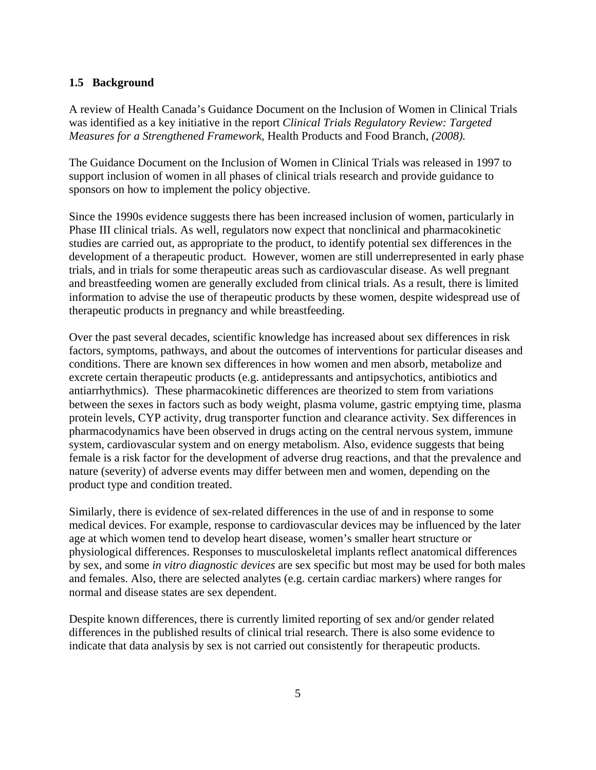### **1.5 Background**

A review of Health Canada's Guidance Document on the Inclusion of Women in Clinical Trials was identified as a key initiative in the report *Clinical Trials Regulatory Review: Targeted Measures for a Strengthened Framework,* Health Products and Food Branch, *(2008).*

The Guidance Document on the Inclusion of Women in Clinical Trials was released in 1997 to support inclusion of women in all phases of clinical trials research and provide guidance to sponsors on how to implement the policy objective.

Since the 1990s evidence suggests there has been increased inclusion of women, particularly in Phase III clinical trials. As well, regulators now expect that nonclinical and pharmacokinetic studies are carried out, as appropriate to the product, to identify potential sex differences in the development of a therapeutic product. However, women are still underrepresented in early phase trials, and in trials for some therapeutic areas such as cardiovascular disease. As well pregnant and breastfeeding women are generally excluded from clinical trials. As a result, there is limited information to advise the use of therapeutic products by these women, despite widespread use of therapeutic products in pregnancy and while breastfeeding.

Over the past several decades, scientific knowledge has increased about sex differences in risk factors, symptoms, pathways, and about the outcomes of interventions for particular diseases and conditions. There are known sex differences in how women and men absorb, metabolize and excrete certain therapeutic products (e.g. antidepressants and antipsychotics, antibiotics and antiarrhythmics). These pharmacokinetic differences are theorized to stem from variations between the sexes in factors such as body weight, plasma volume, gastric emptying time, plasma protein levels, CYP activity, drug transporter function and clearance activity. Sex differences in pharmacodynamics have been observed in drugs acting on the central nervous system, immune system, cardiovascular system and on energy metabolism. Also, evidence suggests that being female is a risk factor for the development of adverse drug reactions, and that the prevalence and nature (severity) of adverse events may differ between men and women, depending on the product type and condition treated.

Similarly, there is evidence of sex-related differences in the use of and in response to some medical devices. For example, response to cardiovascular devices may be influenced by the later age at which women tend to develop heart disease, women's smaller heart structure or physiological differences. Responses to musculoskeletal implants reflect anatomical differences by sex, and some *in vitro diagnostic devices* are sex specific but most may be used for both males and females. Also, there are selected analytes (e.g. certain cardiac markers) where ranges for normal and disease states are sex dependent.

Despite known differences, there is currently limited reporting of sex and/or gender related differences in the published results of clinical trial research. There is also some evidence to indicate that data analysis by sex is not carried out consistently for therapeutic products.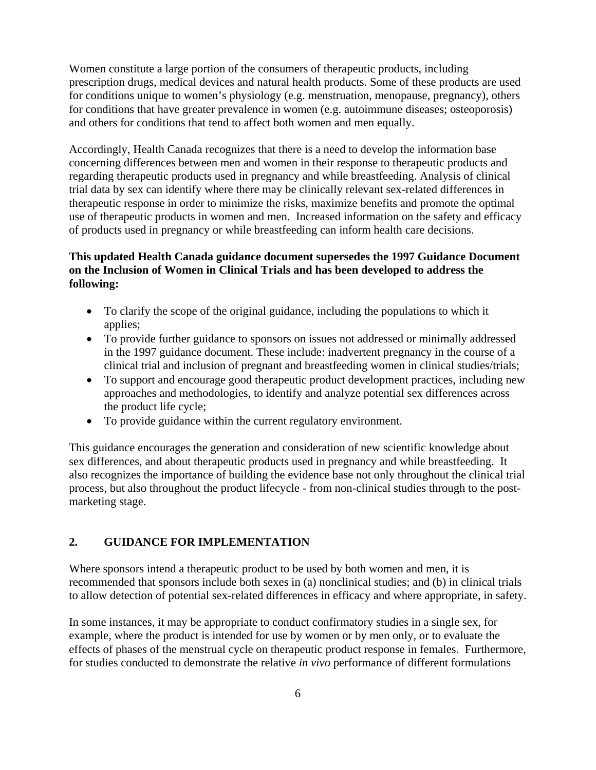Women constitute a large portion of the consumers of therapeutic products, including prescription drugs, medical devices and natural health products. Some of these products are used for conditions unique to women's physiology (e.g. menstruation, menopause, pregnancy), others for conditions that have greater prevalence in women (e.g. autoimmune diseases; osteoporosis) and others for conditions that tend to affect both women and men equally.

Accordingly, Health Canada recognizes that there is a need to develop the information base concerning differences between men and women in their response to therapeutic products and regarding therapeutic products used in pregnancy and while breastfeeding. Analysis of clinical trial data by sex can identify where there may be clinically relevant sex-related differences in therapeutic response in order to minimize the risks, maximize benefits and promote the optimal use of therapeutic products in women and men. Increased information on the safety and efficacy of products used in pregnancy or while breastfeeding can inform health care decisions.

# **This updated Health Canada guidance document supersedes the 1997 Guidance Document on the Inclusion of Women in Clinical Trials and has been developed to address the following:**

- To clarify the scope of the original guidance, including the populations to which it applies;
- To provide further guidance to sponsors on issues not addressed or minimally addressed in the 1997 guidance document. These include: inadvertent pregnancy in the course of a clinical trial and inclusion of pregnant and breastfeeding women in clinical studies/trials;
- To support and encourage good therapeutic product development practices, including new approaches and methodologies, to identify and analyze potential sex differences across the product life cycle;
- To provide guidance within the current regulatory environment.

This guidance encourages the generation and consideration of new scientific knowledge about sex differences, and about therapeutic products used in pregnancy and while breastfeeding. It also recognizes the importance of building the evidence base not only throughout the clinical trial process, but also throughout the product lifecycle - from non-clinical studies through to the postmarketing stage.

### **2. GUIDANCE FOR IMPLEMENTATION**

Where sponsors intend a therapeutic product to be used by both women and men, it is recommended that sponsors include both sexes in (a) nonclinical studies; and (b) in clinical trials to allow detection of potential sex-related differences in efficacy and where appropriate, in safety.

In some instances, it may be appropriate to conduct confirmatory studies in a single sex, for example, where the product is intended for use by women or by men only, or to evaluate the effects of phases of the menstrual cycle on therapeutic product response in females. Furthermore, for studies conducted to demonstrate the relative *in vivo* performance of different formulations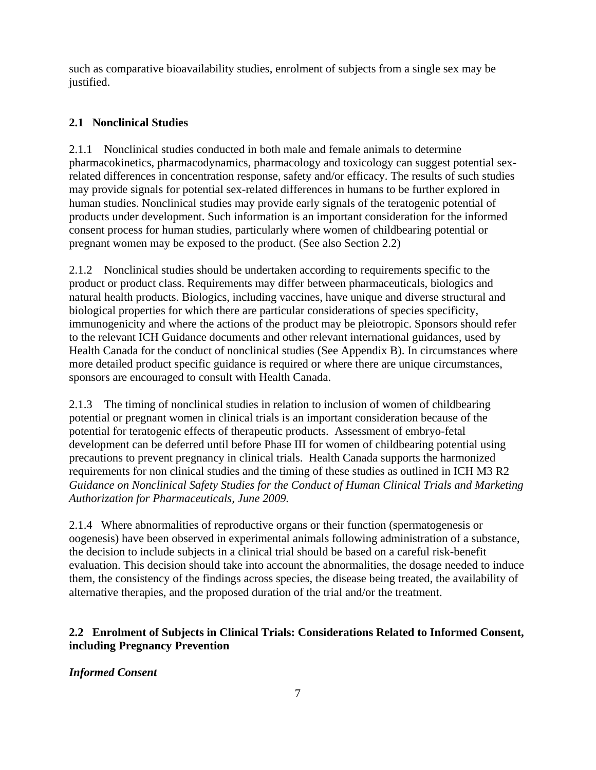such as comparative bioavailability studies, enrolment of subjects from a single sex may be justified.

# **2.1 Nonclinical Studies**

2.1.1 Nonclinical studies conducted in both male and female animals to determine pharmacokinetics, pharmacodynamics, pharmacology and toxicology can suggest potential sexrelated differences in concentration response, safety and/or efficacy. The results of such studies may provide signals for potential sex-related differences in humans to be further explored in human studies. Nonclinical studies may provide early signals of the teratogenic potential of products under development. Such information is an important consideration for the informed consent process for human studies, particularly where women of childbearing potential or pregnant women may be exposed to the product. (See also Section 2.2)

2.1.2 Nonclinical studies should be undertaken according to requirements specific to the product or product class. Requirements may differ between pharmaceuticals, biologics and natural health products. Biologics, including vaccines, have unique and diverse structural and biological properties for which there are particular considerations of species specificity, immunogenicity and where the actions of the product may be pleiotropic. Sponsors should refer to the relevant ICH Guidance documents and other relevant international guidances, used by Health Canada for the conduct of nonclinical studies (See Appendix B). In circumstances where more detailed product specific guidance is required or where there are unique circumstances, sponsors are encouraged to consult with Health Canada.

2.1.3 The timing of nonclinical studies in relation to inclusion of women of childbearing potential or pregnant women in clinical trials is an important consideration because of the potential for teratogenic effects of therapeutic products. Assessment of embryo-fetal development can be deferred until before Phase III for women of childbearing potential using precautions to prevent pregnancy in clinical trials. Health Canada supports the harmonized requirements for non clinical studies and the timing of these studies as outlined in ICH M3 R2 *Guidance on Nonclinical Safety Studies for the Conduct of Human Clinical Trials and Marketing Authorization for Pharmaceuticals, June 2009.*

2.1.4 Where abnormalities of reproductive organs or their function (spermatogenesis or oogenesis) have been observed in experimental animals following administration of a substance, the decision to include subjects in a clinical trial should be based on a careful risk-benefit evaluation. This decision should take into account the abnormalities, the dosage needed to induce them, the consistency of the findings across species, the disease being treated, the availability of alternative therapies, and the proposed duration of the trial and/or the treatment.

# **2.2 Enrolment of Subjects in Clinical Trials: Considerations Related to Informed Consent, including Pregnancy Prevention**

*Informed Consent*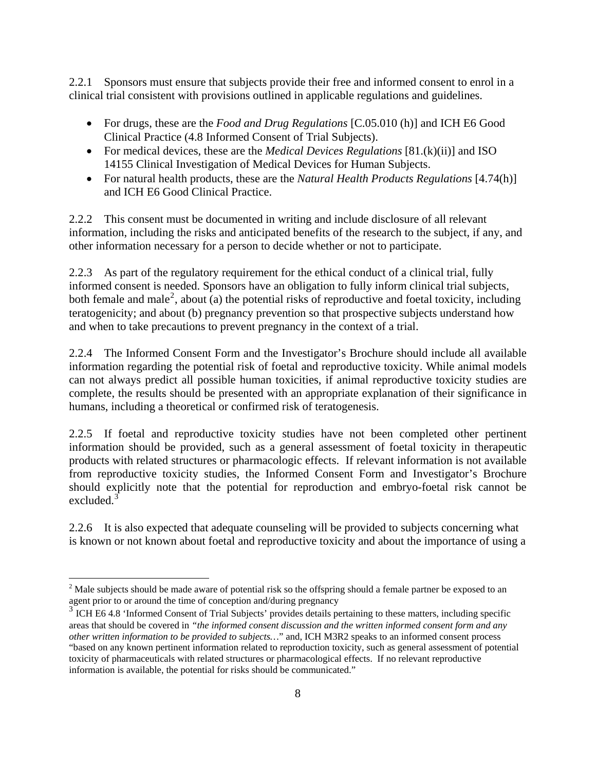2.2.1 Sponsors must ensure that subjects provide their free and informed consent to enrol in a clinical trial consistent with provisions outlined in applicable regulations and guidelines.

- For drugs, these are the *Food and Drug Regulations* [C.05.010 (h)] and ICH E6 Good Clinical Practice (4.8 Informed Consent of Trial Subjects).
- For medical devices, these are the *Medical Devices Regulations* [81.(k)(ii)] and ISO 14155 Clinical Investigation of Medical Devices for Human Subjects.
- For natural health products, these are the *Natural Health Products Regulations* [4.74(h)] and ICH E6 Good Clinical Practice.

2.2.2 This consent must be documented in writing and include disclosure of all relevant information, including the risks and anticipated benefits of the research to the subject, if any, and other information necessary for a person to decide whether or not to participate.

2.2.3 As part of the regulatory requirement for the ethical conduct of a clinical trial, fully informed consent is needed. Sponsors have an obligation to fully inform clinical trial subjects, both female and male<sup>[2](#page-7-0)</sup>, about (a) the potential risks of reproductive and foetal toxicity, including teratogenicity; and about (b) pregnancy prevention so that prospective subjects understand how and when to take precautions to prevent pregnancy in the context of a trial.

2.2.4 The Informed Consent Form and the Investigator's Brochure should include all available information regarding the potential risk of foetal and reproductive toxicity. While animal models can not always predict all possible human toxicities, if animal reproductive toxicity studies are complete, the results should be presented with an appropriate explanation of their significance in humans, including a theoretical or confirmed risk of teratogenesis.

2.2.5 If foetal and reproductive toxicity studies have not been completed other pertinent information should be provided, such as a general assessment of foetal toxicity in therapeutic products with related structures or pharmacologic effects. If relevant information is not available from reproductive toxicity studies, the Informed Consent Form and Investigator's Brochure should explicitly note that the potential for reproduction and embryo-foetal risk cannot be excluded.<sup>[3](#page-7-1)</sup>

2.2.6 It is also expected that adequate counseling will be provided to subjects concerning what is known or not known about foetal and reproductive toxicity and about the importance of using a

 $\overline{a}$ 

<span id="page-7-0"></span><sup>&</sup>lt;sup>2</sup> Male subjects should be made aware of potential risk so the offspring should a female partner be exposed to an agent prior to or around the time of conception and/during pregnancy

<span id="page-7-1"></span><sup>&</sup>lt;sup>3</sup> ICH E6 4.8 'Informed Consent of Trial Subjects' provides details pertaining to these matters, including specific areas that should be covered in *"the informed consent discussion and the written informed consent form and any other written information to be provided to subjects…*" and, ICH M3R2 speaks to an informed consent process "based on any known pertinent information related to reproduction toxicity, such as general assessment of potential toxicity of pharmaceuticals with related structures or pharmacological effects. If no relevant reproductive information is available, the potential for risks should be communicated."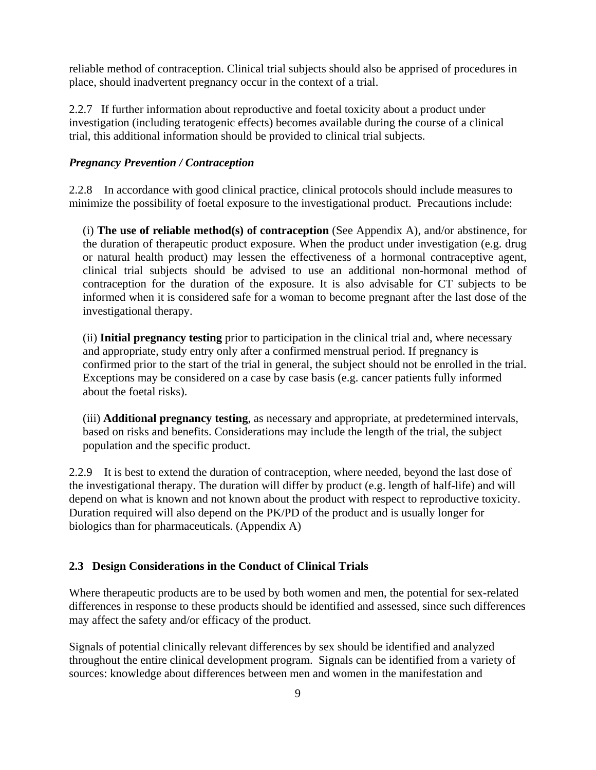reliable method of contraception. Clinical trial subjects should also be apprised of procedures in place, should inadvertent pregnancy occur in the context of a trial.

2.2.7 If further information about reproductive and foetal toxicity about a product under investigation (including teratogenic effects) becomes available during the course of a clinical trial, this additional information should be provided to clinical trial subjects.

### *Pregnancy Prevention / Contraception*

2.2.8 In accordance with good clinical practice, clinical protocols should include measures to minimize the possibility of foetal exposure to the investigational product. Precautions include:

(i) **The use of reliable method(s) of contraception** (See Appendix A), and/or abstinence, for the duration of therapeutic product exposure. When the product under investigation (e.g. drug or natural health product) may lessen the effectiveness of a hormonal contraceptive agent, clinical trial subjects should be advised to use an additional non-hormonal method of contraception for the duration of the exposure. It is also advisable for CT subjects to be informed when it is considered safe for a woman to become pregnant after the last dose of the investigational therapy.

(ii) **Initial pregnancy testing** prior to participation in the clinical trial and, where necessary and appropriate, study entry only after a confirmed menstrual period. If pregnancy is confirmed prior to the start of the trial in general, the subject should not be enrolled in the trial. Exceptions may be considered on a case by case basis (e.g. cancer patients fully informed about the foetal risks).

(iii) **Additional pregnancy testing**, as necessary and appropriate, at predetermined intervals, based on risks and benefits. Considerations may include the length of the trial, the subject population and the specific product.

2.2.9 It is best to extend the duration of contraception, where needed, beyond the last dose of the investigational therapy. The duration will differ by product (e.g. length of half-life) and will depend on what is known and not known about the product with respect to reproductive toxicity. Duration required will also depend on the PK/PD of the product and is usually longer for biologics than for pharmaceuticals. (Appendix A)

# **2.3 Design Considerations in the Conduct of Clinical Trials**

Where therapeutic products are to be used by both women and men, the potential for sex-related differences in response to these products should be identified and assessed, since such differences may affect the safety and/or efficacy of the product.

Signals of potential clinically relevant differences by sex should be identified and analyzed throughout the entire clinical development program. Signals can be identified from a variety of sources: knowledge about differences between men and women in the manifestation and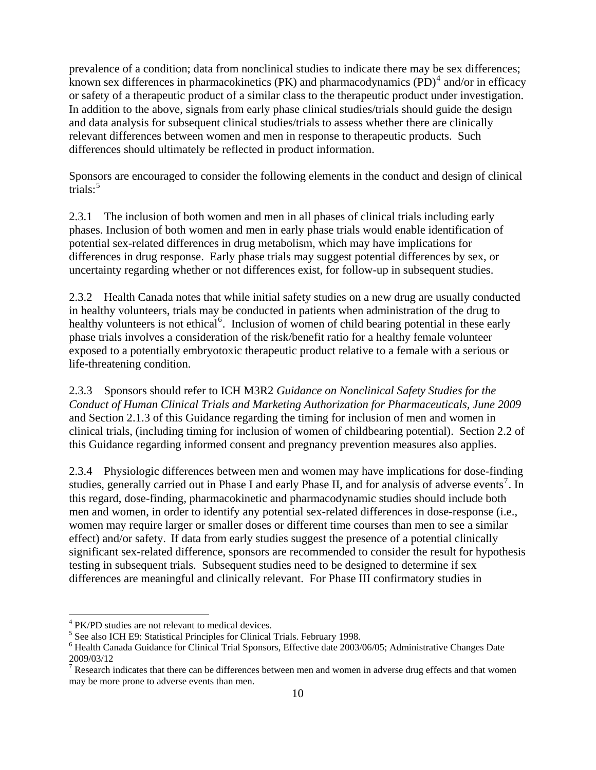prevalence of a condition; data from nonclinical studies to indicate there may be sex differences; known sex differences in pharmacokinetics (PK) and pharmacodynamics  $(PD)^4$  $(PD)^4$  and/or in efficacy or safety of a therapeutic product of a similar class to the therapeutic product under investigation. In addition to the above, signals from early phase clinical studies/trials should guide the design and data analysis for subsequent clinical studies/trials to assess whether there are clinically relevant differences between women and men in response to therapeutic products. Such differences should ultimately be reflected in product information.

Sponsors are encouraged to consider the following elements in the conduct and design of clinical trials: $5$ 

2.3.1 The inclusion of both women and men in all phases of clinical trials including early phases. Inclusion of both women and men in early phase trials would enable identification of potential sex-related differences in drug metabolism, which may have implications for differences in drug response. Early phase trials may suggest potential differences by sex, or uncertainty regarding whether or not differences exist, for follow-up in subsequent studies.

2.3.2 Health Canada notes that while initial safety studies on a new drug are usually conducted in healthy volunteers, trials may be conducted in patients when administration of the drug to healthy volunteers is not ethical<sup>[6](#page-9-2)</sup>. Inclusion of women of child bearing potential in these early phase trials involves a consideration of the risk/benefit ratio for a healthy female volunteer exposed to a potentially embryotoxic therapeutic product relative to a female with a serious or life-threatening condition.

2.3.3 Sponsors should refer to ICH M3R2 *Guidance on Nonclinical Safety Studies for the Conduct of Human Clinical Trials and Marketing Authorization for Pharmaceuticals, June 2009* and Section 2.1.3 of this Guidance regarding the timing for inclusion of men and women in clinical trials, (including timing for inclusion of women of childbearing potential). Section 2.2 of this Guidance regarding informed consent and pregnancy prevention measures also applies.

2.3.4 Physiologic differences between men and women may have implications for dose-finding studies, generally carried out in Phase I and early Phase II, and for analysis of adverse events<sup>[7](#page-9-3)</sup>. In this regard, dose-finding, pharmacokinetic and pharmacodynamic studies should include both men and women, in order to identify any potential sex-related differences in dose-response (i.e., women may require larger or smaller doses or different time courses than men to see a similar effect) and/or safety. If data from early studies suggest the presence of a potential clinically significant sex-related difference, sponsors are recommended to consider the result for hypothesis testing in subsequent trials. Subsequent studies need to be designed to determine if sex differences are meaningful and clinically relevant. For Phase III confirmatory studies in

 $\overline{a}$ 

<span id="page-9-0"></span><sup>4</sup> PK/PD studies are not relevant to medical devices.

<span id="page-9-1"></span><sup>&</sup>lt;sup>5</sup> See also ICH E9: Statistical Principles for Clinical Trials. February 1998.

<span id="page-9-2"></span><sup>&</sup>lt;sup>6</sup> Health Canada Guidance for Clinical Trial Sponsors, Effective date 2003/06/05; Administrative Changes Date 2009/03/12

<span id="page-9-3"></span><sup>&</sup>lt;sup>7</sup> Research indicates that there can be differences between men and women in adverse drug effects and that women may be more prone to adverse events than men.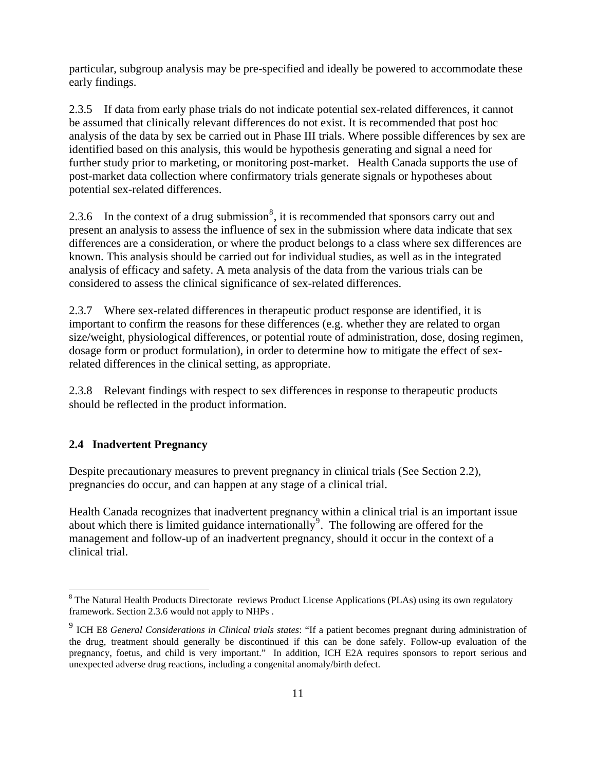particular, subgroup analysis may be pre-specified and ideally be powered to accommodate these early findings.

2.3.5 If data from early phase trials do not indicate potential sex-related differences, it cannot be assumed that clinically relevant differences do not exist. It is recommended that post hoc analysis of the data by sex be carried out in Phase III trials. Where possible differences by sex are identified based on this analysis, this would be hypothesis generating and signal a need for further study prior to marketing, or monitoring post-market. Health Canada supports the use of post-market data collection where confirmatory trials generate signals or hypotheses about potential sex-related differences.

2.3.6 In the context of a drug submission<sup>[8](#page-10-0)</sup>, it is recommended that sponsors carry out and present an analysis to assess the influence of sex in the submission where data indicate that sex differences are a consideration, or where the product belongs to a class where sex differences are known. This analysis should be carried out for individual studies, as well as in the integrated analysis of efficacy and safety. A meta analysis of the data from the various trials can be considered to assess the clinical significance of sex-related differences.

2.3.7 Where sex-related differences in therapeutic product response are identified, it is important to confirm the reasons for these differences (e.g. whether they are related to organ size/weight, physiological differences, or potential route of administration, dose, dosing regimen, dosage form or product formulation), in order to determine how to mitigate the effect of sexrelated differences in the clinical setting, as appropriate.

2.3.8 Relevant findings with respect to sex differences in response to therapeutic products should be reflected in the product information.

### **2.4 Inadvertent Pregnancy**

Despite precautionary measures to prevent pregnancy in clinical trials (See Section 2.2), pregnancies do occur, and can happen at any stage of a clinical trial.

Health Canada recognizes that inadvertent pregnancy within a clinical trial is an important issue about which there is limited guidance internationally<sup>[9](#page-10-1)</sup>. The following are offered for the management and follow-up of an inadvertent pregnancy, should it occur in the context of a clinical trial.

<span id="page-10-0"></span><sup>&</sup>lt;sup>8</sup> The Natural Health Products Directorate reviews Product License Applications (PLAs) using its own regulatory framework. Section 2.3.6 would not apply to NHPs .

<span id="page-10-1"></span><sup>9</sup> ICH E8 *General Considerations in Clinical trials states*: "If a patient becomes pregnant during administration of the drug, treatment should generally be discontinued if this can be done safely. Follow-up evaluation of the pregnancy, foetus, and child is very important." In addition, ICH E2A requires sponsors to report serious and unexpected adverse drug reactions, including a congenital anomaly/birth defect.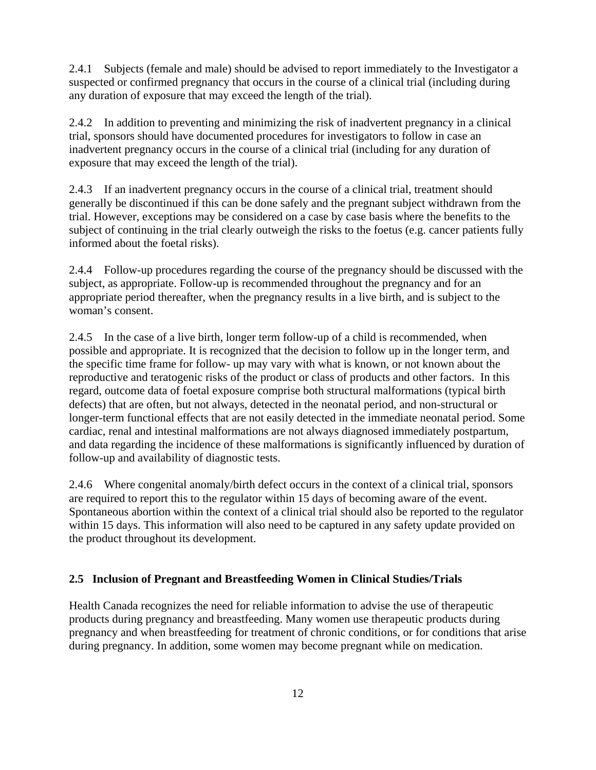2.4.1 Subjects (female and male) should be advised to report immediately to the Investigator a suspected or confirmed pregnancy that occurs in the course of a clinical trial (including during any duration of exposure that may exceed the length of the trial).

2.4.2 In addition to preventing and minimizing the risk of inadvertent pregnancy in a clinical trial, sponsors should have documented procedures for investigators to follow in case an inadvertent pregnancy occurs in the course of a clinical trial (including for any duration of exposure that may exceed the length of the trial).

2.4.3 If an inadvertent pregnancy occurs in the course of a clinical trial, treatment should generally be discontinued if this can be done safely and the pregnant subject withdrawn from the trial. However, exceptions may be considered on a case by case basis where the benefits to the subject of continuing in the trial clearly outweigh the risks to the foetus (e.g. cancer patients fully informed about the foetal risks).

2.4.4 Follow-up procedures regarding the course of the pregnancy should be discussed with the subject, as appropriate. Follow-up is recommended throughout the pregnancy and for an appropriate period thereafter, when the pregnancy results in a live birth, and is subject to the woman's consent.

2.4.5 In the case of a live birth, longer term follow-up of a child is recommended, when possible and appropriate. It is recognized that the decision to follow up in the longer term, and the specific time frame for follow- up may vary with what is known, or not known about the reproductive and teratogenic risks of the product or class of products and other factors. In this regard, outcome data of foetal exposure comprise both structural malformations (typical birth defects) that are often, but not always, detected in the neonatal period, and non-structural or longer-term functional effects that are not easily detected in the immediate neonatal period. Some cardiac, renal and intestinal malformations are not always diagnosed immediately postpartum, and data regarding the incidence of these malformations is significantly influenced by duration of follow-up and availability of diagnostic tests.

2.4.6 Where congenital anomaly/birth defect occurs in the context of a clinical trial, sponsors are required to report this to the regulator within 15 days of becoming aware of the event. Spontaneous abortion within the context of a clinical trial should also be reported to the regulator within 15 days. This information will also need to be captured in any safety update provided on the product throughout its development.

# **2.5 Inclusion of Pregnant and Breastfeeding Women in Clinical Studies/Trials**

Health Canada recognizes the need for reliable information to advise the use of therapeutic products during pregnancy and breastfeeding. Many women use therapeutic products during pregnancy and when breastfeeding for treatment of chronic conditions, or for conditions that arise during pregnancy. In addition, some women may become pregnant while on medication.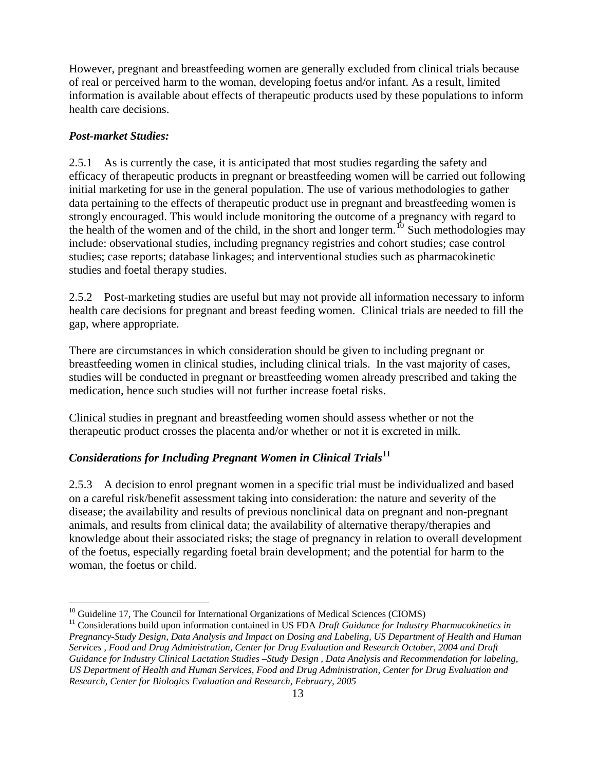However, pregnant and breastfeeding women are generally excluded from clinical trials because of real or perceived harm to the woman, developing foetus and/or infant. As a result, limited information is available about effects of therapeutic products used by these populations to inform health care decisions.

## *Post-market Studies:*

2.5.1 As is currently the case, it is anticipated that most studies regarding the safety and efficacy of therapeutic products in pregnant or breastfeeding women will be carried out following initial marketing for use in the general population. The use of various methodologies to gather data pertaining to the effects of therapeutic product use in pregnant and breastfeeding women is strongly encouraged. This would include monitoring the outcome of a pregnancy with regard to the health of the women and of the child, in the short and longer term.<sup>[10](#page-12-0)</sup> Such methodologies may include: observational studies, including pregnancy registries and cohort studies; case control studies; case reports; database linkages; and interventional studies such as pharmacokinetic studies and foetal therapy studies.

2.5.2 Post-marketing studies are useful but may not provide all information necessary to inform health care decisions for pregnant and breast feeding women. Clinical trials are needed to fill the gap, where appropriate.

There are circumstances in which consideration should be given to including pregnant or breastfeeding women in clinical studies, including clinical trials. In the vast majority of cases, studies will be conducted in pregnant or breastfeeding women already prescribed and taking the medication, hence such studies will not further increase foetal risks.

Clinical studies in pregnant and breastfeeding women should assess whether or not the therapeutic product crosses the placenta and/or whether or not it is excreted in milk.

# *Considerations for Including Pregnant Women in Clinical Trials***[11](#page-12-1)**

2.5.3 A decision to enrol pregnant women in a specific trial must be individualized and based on a careful risk/benefit assessment taking into consideration: the nature and severity of the disease; the availability and results of previous nonclinical data on pregnant and non-pregnant animals, and results from clinical data; the availability of alternative therapy/therapies and knowledge about their associated risks; the stage of pregnancy in relation to overall development of the foetus, especially regarding foetal brain development; and the potential for harm to the woman, the foetus or child.

 $\overline{a}$ <sup>10</sup> Guideline 17, The Council for International Organizations of Medical Sciences (CIOMS)

<span id="page-12-1"></span><span id="page-12-0"></span><sup>&</sup>lt;sup>11</sup> Considerations build upon information contained in US FDA *Draft Guidance for Industry Pharmacokinetics in Pregnancy-Study Design, Data Analysis and Impact on Dosing and Labeling, US Department of Health and Human Services , Food and Drug Administration, Center for Drug Evaluation and Research October, 2004 and Draft Guidance for Industry Clinical Lactation Studies –Study Design , Data Analysis and Recommendation for labeling, US Department of Health and Human Services, Food and Drug Administration, Center for Drug Evaluation and Research, Center for Biologics Evaluation and Research, February, 2005*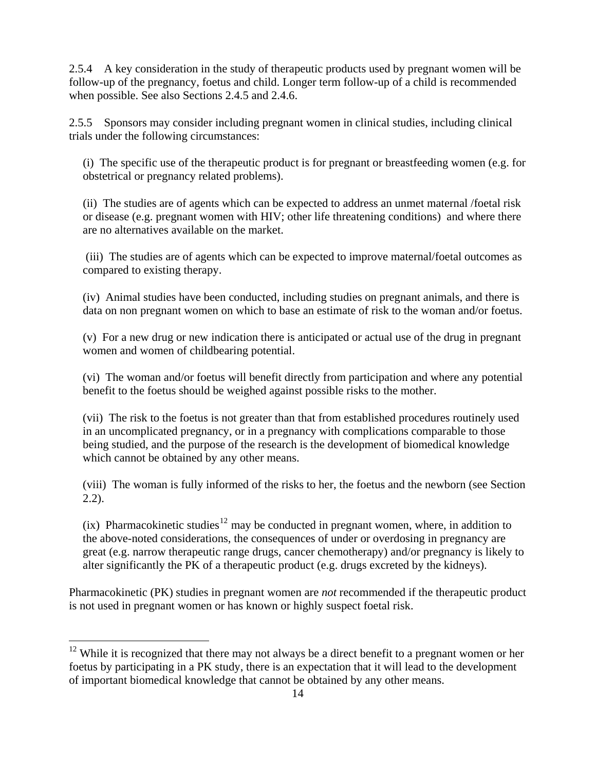2.5.4 A key consideration in the study of therapeutic products used by pregnant women will be follow-up of the pregnancy, foetus and child. Longer term follow-up of a child is recommended when possible. See also Sections 2.4.5 and 2.4.6.

2.5.5 Sponsors may consider including pregnant women in clinical studies, including clinical trials under the following circumstances:

(i) The specific use of the therapeutic product is for pregnant or breastfeeding women (e.g. for obstetrical or pregnancy related problems).

(ii) The studies are of agents which can be expected to address an unmet maternal /foetal risk or disease (e.g. pregnant women with HIV; other life threatening conditions) and where there are no alternatives available on the market.

 (iii) The studies are of agents which can be expected to improve maternal/foetal outcomes as compared to existing therapy.

(iv) Animal studies have been conducted, including studies on pregnant animals, and there is data on non pregnant women on which to base an estimate of risk to the woman and/or foetus.

(v) For a new drug or new indication there is anticipated or actual use of the drug in pregnant women and women of childbearing potential.

(vi) The woman and/or foetus will benefit directly from participation and where any potential benefit to the foetus should be weighed against possible risks to the mother.

(vii) The risk to the foetus is not greater than that from established procedures routinely used in an uncomplicated pregnancy, or in a pregnancy with complications comparable to those being studied, and the purpose of the research is the development of biomedical knowledge which cannot be obtained by any other means.

(viii) The woman is fully informed of the risks to her, the foetus and the newborn (see Section 2.2).

(ix) Pharmacokinetic studies<sup>[12](#page-13-0)</sup> may be conducted in pregnant women, where, in addition to the above-noted considerations, the consequences of under or overdosing in pregnancy are great (e.g. narrow therapeutic range drugs, cancer chemotherapy) and/or pregnancy is likely to alter significantly the PK of a therapeutic product (e.g. drugs excreted by the kidneys).

Pharmacokinetic (PK) studies in pregnant women are *not* recommended if the therapeutic product is not used in pregnant women or has known or highly suspect foetal risk.

 $\overline{a}$ 

<span id="page-13-0"></span><sup>&</sup>lt;sup>12</sup> While it is recognized that there may not always be a direct benefit to a pregnant women or her foetus by participating in a PK study, there is an expectation that it will lead to the development of important biomedical knowledge that cannot be obtained by any other means.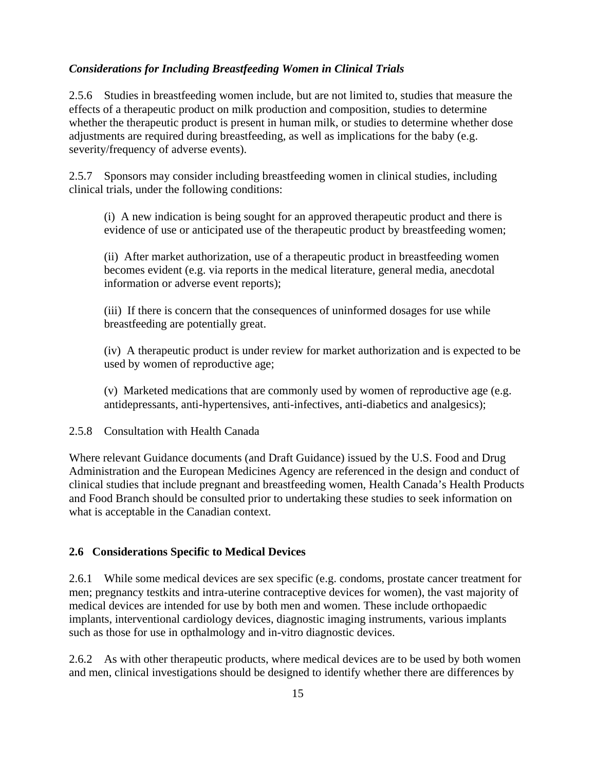### *Considerations for Including Breastfeeding Women in Clinical Trials*

2.5.6 Studies in breastfeeding women include, but are not limited to, studies that measure the effects of a therapeutic product on milk production and composition, studies to determine whether the therapeutic product is present in human milk, or studies to determine whether dose adjustments are required during breastfeeding, as well as implications for the baby (e.g. severity/frequency of adverse events).

2.5.7 Sponsors may consider including breastfeeding women in clinical studies, including clinical trials, under the following conditions:

(i) A new indication is being sought for an approved therapeutic product and there is evidence of use or anticipated use of the therapeutic product by breastfeeding women;

(ii) After market authorization, use of a therapeutic product in breastfeeding women becomes evident (e.g. via reports in the medical literature, general media, anecdotal information or adverse event reports);

(iii) If there is concern that the consequences of uninformed dosages for use while breastfeeding are potentially great.

(iv) A therapeutic product is under review for market authorization and is expected to be used by women of reproductive age;

(v) Marketed medications that are commonly used by women of reproductive age (e.g. antidepressants, anti-hypertensives, anti-infectives, anti-diabetics and analgesics);

#### 2.5.8 Consultation with Health Canada

Where relevant Guidance documents (and Draft Guidance) issued by the U.S. Food and Drug Administration and the European Medicines Agency are referenced in the design and conduct of clinical studies that include pregnant and breastfeeding women, Health Canada's Health Products and Food Branch should be consulted prior to undertaking these studies to seek information on what is acceptable in the Canadian context.

#### **2.6 Considerations Specific to Medical Devices**

2.6.1 While some medical devices are sex specific (e.g. condoms, prostate cancer treatment for men; pregnancy testkits and intra-uterine contraceptive devices for women), the vast majority of medical devices are intended for use by both men and women. These include orthopaedic implants, interventional cardiology devices, diagnostic imaging instruments, various implants such as those for use in opthalmology and in-vitro diagnostic devices.

2.6.2 As with other therapeutic products, where medical devices are to be used by both women and men, clinical investigations should be designed to identify whether there are differences by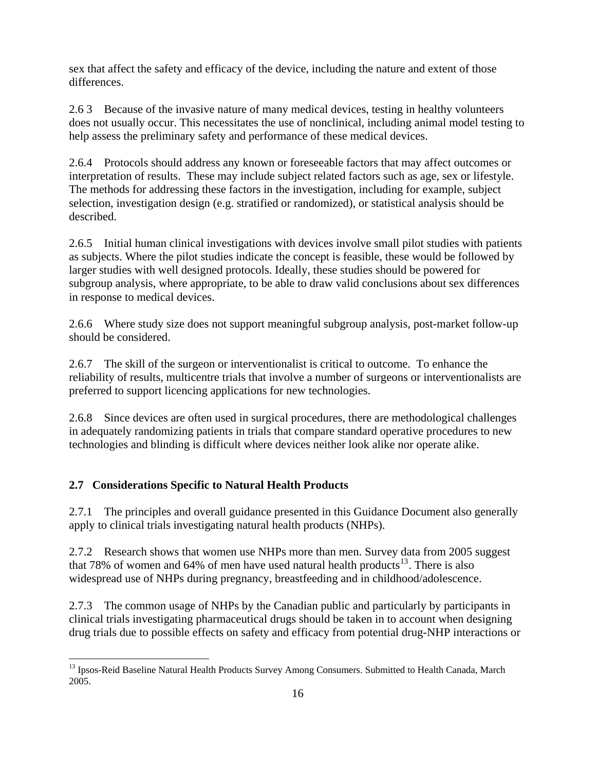sex that affect the safety and efficacy of the device, including the nature and extent of those differences.

2.6 3 Because of the invasive nature of many medical devices, testing in healthy volunteers does not usually occur. This necessitates the use of nonclinical, including animal model testing to help assess the preliminary safety and performance of these medical devices.

2.6.4 Protocols should address any known or foreseeable factors that may affect outcomes or interpretation of results. These may include subject related factors such as age, sex or lifestyle. The methods for addressing these factors in the investigation, including for example, subject selection, investigation design (e.g. stratified or randomized), or statistical analysis should be described.

2.6.5 Initial human clinical investigations with devices involve small pilot studies with patients as subjects. Where the pilot studies indicate the concept is feasible, these would be followed by larger studies with well designed protocols. Ideally, these studies should be powered for subgroup analysis, where appropriate, to be able to draw valid conclusions about sex differences in response to medical devices.

2.6.6 Where study size does not support meaningful subgroup analysis, post-market follow-up should be considered.

2.6.7 The skill of the surgeon or interventionalist is critical to outcome. To enhance the reliability of results, multicentre trials that involve a number of surgeons or interventionalists are preferred to support licencing applications for new technologies.

2.6.8 Since devices are often used in surgical procedures, there are methodological challenges in adequately randomizing patients in trials that compare standard operative procedures to new technologies and blinding is difficult where devices neither look alike nor operate alike.

# **2.7 Considerations Specific to Natural Health Products**

 $\overline{a}$ 

2.7.1 The principles and overall guidance presented in this Guidance Document also generally apply to clinical trials investigating natural health products (NHPs).

2.7.2 Research shows that women use NHPs more than men. Survey data from 2005 suggest that 78% of women and 64% of men have used natural health products<sup>[13](#page-15-0)</sup>. There is also widespread use of NHPs during pregnancy, breastfeeding and in childhood/adolescence.

2.7.3 The common usage of NHPs by the Canadian public and particularly by participants in clinical trials investigating pharmaceutical drugs should be taken in to account when designing drug trials due to possible effects on safety and efficacy from potential drug-NHP interactions or

<span id="page-15-0"></span><sup>&</sup>lt;sup>13</sup> Ipsos-Reid Baseline Natural Health Products Survey Among Consumers. Submitted to Health Canada, March 2005.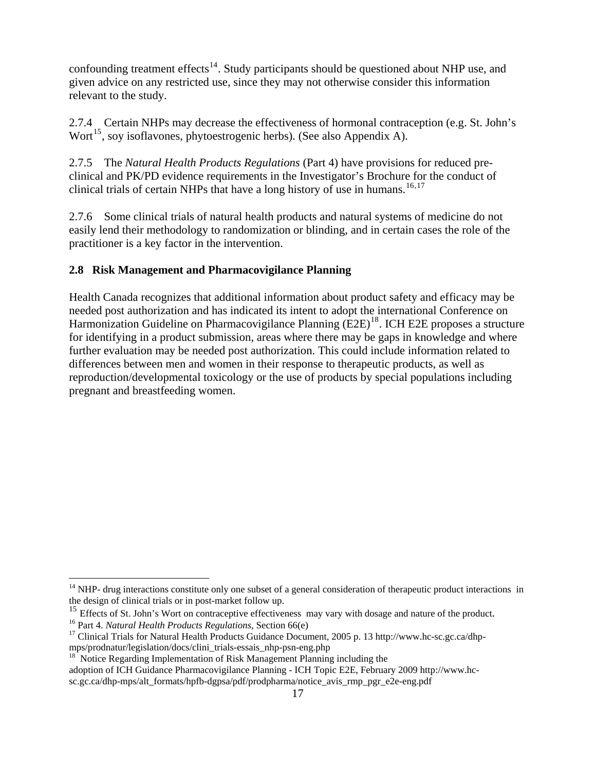confounding treatment effects<sup>[14](#page-16-0)</sup>. Study participants should be questioned about NHP use, and given advice on any restricted use, since they may not otherwise consider this information relevant to the study.

2.7.4 Certain NHPs may decrease the effectiveness of hormonal contraception (e.g. St. John's Wort<sup>[15](#page-16-1)</sup>, soy isoflavones, phytoestrogenic herbs). (See also Appendix A).

2.7.5 The *Natural Health Products Regulations* (Part 4) have provisions for reduced preclinical and PK/PD evidence requirements in the Investigator's Brochure for the conduct of clinical trials of certain NHPs that have a long history of use in humans.<sup>[16](#page-16-2),17</sup>

2.7.6 Some clinical trials of natural health products and natural systems of medicine do not easily lend their methodology to randomization or blinding, and in certain cases the role of the practitioner is a key factor in the intervention.

# **2.8 Risk Management and Pharmacovigilance Planning**

Health Canada recognizes that additional information about product safety and efficacy may be needed post authorization and has indicated its intent to adopt the international Conference on Harmonization Guideline on Pharmacovigilance Planning (E2E)<sup>[18](#page-16-4)</sup>. ICH E2E proposes a structure for identifying in a product submission, areas where there may be gaps in knowledge and where further evaluation may be needed post authorization. This could include information related to differences between men and women in their response to therapeutic products, as well as reproduction/developmental toxicology or the use of products by special populations including pregnant and breastfeeding women.

 $\overline{a}$ 

<span id="page-16-0"></span> $14$  NHP- drug interactions constitute only one subset of a general consideration of therapeutic product interactions in the design of clinical trials or in post-market follow up.

<span id="page-16-1"></span><sup>&</sup>lt;sup>15</sup> Effects of St. John's Wort on contraceptive effectiveness may vary with dosage and nature of the product.<br><sup>16</sup> Part 4. *Natural Health Products Regulations*, Section 66(e)<br><sup>17</sup> Clinical Trials for Natural Health Prod

<span id="page-16-2"></span>

<span id="page-16-3"></span>mps/prodnatur/legislation/docs/clini\_trials-essais\_nhp-psn-eng.php

<span id="page-16-4"></span><sup>&</sup>lt;sup>18</sup> Notice Regarding Implementation of Risk Management Planning including the adoption of ICH Guidance Pharmacovigilance Planning - ICH Topic E2E, February 2009 http://www.hcsc.gc.ca/dhp-mps/alt\_formats/hpfb-dgpsa/pdf/prodpharma/notice\_avis\_rmp\_pgr\_e2e-eng.pdf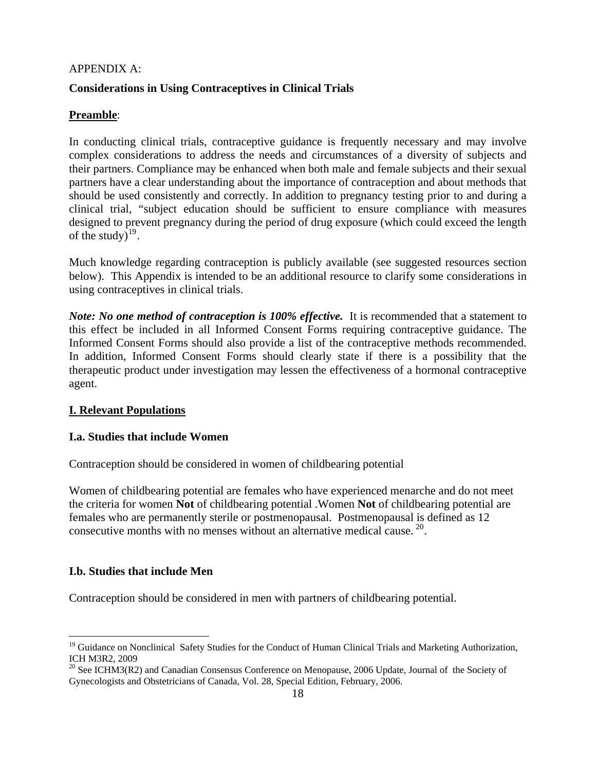#### APPENDIX A:

### **Considerations in Using Contraceptives in Clinical Trials**

# **Preamble**:

In conducting clinical trials, contraceptive guidance is frequently necessary and may involve complex considerations to address the needs and circumstances of a diversity of subjects and their partners. Compliance may be enhanced when both male and female subjects and their sexual partners have a clear understanding about the importance of contraception and about methods that should be used consistently and correctly. In addition to pregnancy testing prior to and during a clinical trial, "subject education should be sufficient to ensure compliance with measures designed to prevent pregnancy during the period of drug exposure (which could exceed the length of the study) $^{19}$  $^{19}$  $^{19}$ .

Much knowledge regarding contraception is publicly available (see suggested resources section below). This Appendix is intended to be an additional resource to clarify some considerations in using contraceptives in clinical trials.

*Note: No one method of contraception is 100% effective.* It is recommended that a statement to this effect be included in all Informed Consent Forms requiring contraceptive guidance. The Informed Consent Forms should also provide a list of the contraceptive methods recommended. In addition, Informed Consent Forms should clearly state if there is a possibility that the therapeutic product under investigation may lessen the effectiveness of a hormonal contraceptive agent.

### **I. Relevant Populations**

### **I.a. Studies that include Women**

Contraception should be considered in women of childbearing potential

Women of childbearing potential are females who have experienced menarche and do not meet the criteria for women **Not** of childbearing potential .Women **Not** of childbearing potential are females who are permanently sterile or postmenopausal. Postmenopausal is defined as 12 consecutive months with no menses without an alternative medical cause. [20](#page-17-1).

### **I.b. Studies that include Men**

 $\overline{a}$ 

Contraception should be considered in men with partners of childbearing potential.

<span id="page-17-0"></span><sup>&</sup>lt;sup>19</sup> Guidance on Nonclinical Safety Studies for the Conduct of Human Clinical Trials and Marketing Authorization, ICH M3R2, 2009

<span id="page-17-1"></span><sup>&</sup>lt;sup>20</sup> See ICHM3(R2) and Canadian Consensus Conference on Menopause, 2006 Update, Journal of the Society of Gynecologists and Obstetricians of Canada, Vol. 28, Special Edition, February, 2006.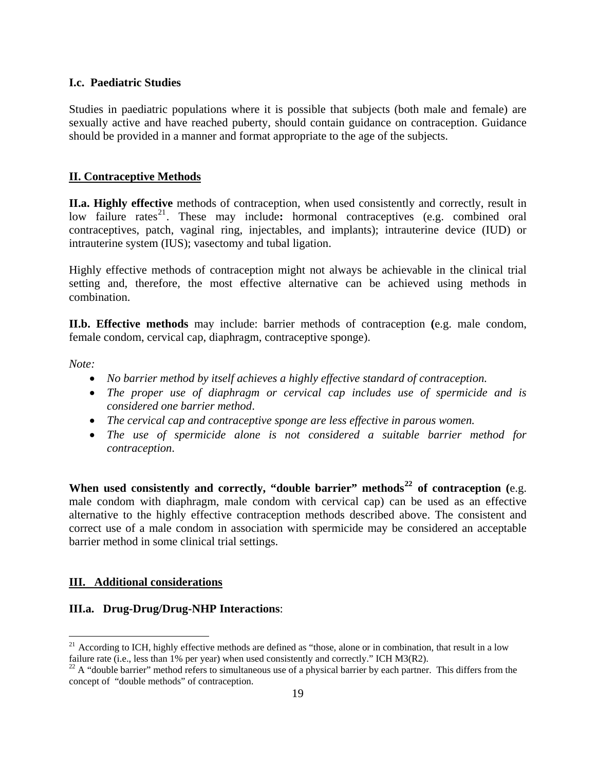#### **I.c. Paediatric Studies**

Studies in paediatric populations where it is possible that subjects (both male and female) are sexually active and have reached puberty, should contain guidance on contraception. Guidance should be provided in a manner and format appropriate to the age of the subjects.

#### **II. Contraceptive Methods**

**II.a. Highly effective** methods of contraception, when used consistently and correctly, result in low failure rates<sup>[21](#page-18-0)</sup>. These may include: hormonal contraceptives (e.g. combined oral contraceptives, patch, vaginal ring, injectables, and implants); intrauterine device (IUD) or intrauterine system (IUS); vasectomy and tubal ligation.

Highly effective methods of contraception might not always be achievable in the clinical trial setting and, therefore, the most effective alternative can be achieved using methods in combination.

**II.b. Effective methods** may include: barrier methods of contraception **(**e.g. male condom, female condom, cervical cap, diaphragm, contraceptive sponge).

*Note:* 

 $\overline{a}$ 

- *No barrier method by itself achieves a highly effective standard of contraception.*
- *The proper use of diaphragm or cervical cap includes use of spermicide and is considered one barrier method*.
- *The cervical cap and contraceptive sponge are less effective in parous women.*
- *The use of spermicide alone is not considered a suitable barrier method for contraception*.

**When used consistently and correctly, "double barrier" methods[22](#page-18-1) of contraception (**e.g. male condom with diaphragm, male condom with cervical cap) can be used as an effective alternative to the highly effective contraception methods described above. The consistent and correct use of a male condom in association with spermicide may be considered an acceptable barrier method in some clinical trial settings.

#### **III. Additional considerations**

#### **III.a. Drug-Drug/Drug-NHP Interactions**:

<span id="page-18-0"></span> $21$  According to ICH, highly effective methods are defined as "those, alone or in combination, that result in a low failure rate (i.e., less than 1% per year) when used consistently and correctly." ICH M3(R2).

<span id="page-18-1"></span> $^{22}$  A "double barrier" method refers to simultaneous use of a physical barrier by each partner. This differs from the concept of "double methods" of contraception.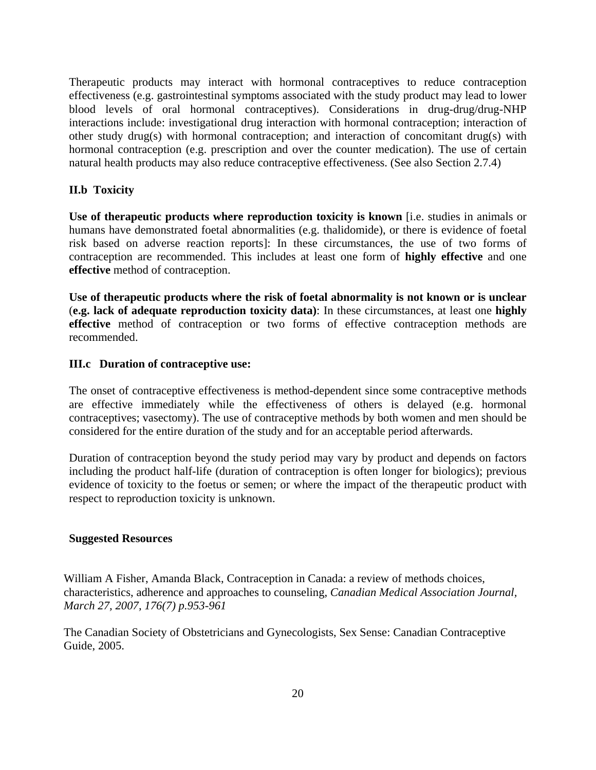Therapeutic products may interact with hormonal contraceptives to reduce contraception effectiveness (e.g. gastrointestinal symptoms associated with the study product may lead to lower blood levels of oral hormonal contraceptives). Considerations in drug-drug/drug-NHP interactions include: investigational drug interaction with hormonal contraception; interaction of other study drug(s) with hormonal contraception; and interaction of concomitant drug(s) with hormonal contraception (e.g. prescription and over the counter medication). The use of certain natural health products may also reduce contraceptive effectiveness. (See also Section 2.7.4)

### **II.b Toxicity**

**Use of therapeutic products where reproduction toxicity is known** [i.e. studies in animals or humans have demonstrated foetal abnormalities (e.g. thalidomide), or there is evidence of foetal risk based on adverse reaction reports]: In these circumstances, the use of two forms of contraception are recommended. This includes at least one form of **highly effective** and one **effective** method of contraception.

**Use of therapeutic products where the risk of foetal abnormality is not known or is unclear** (**e.g. lack of adequate reproduction toxicity data)**: In these circumstances, at least one **highly effective** method of contraception or two forms of effective contraception methods are recommended.

#### **III.c Duration of contraceptive use:**

The onset of contraceptive effectiveness is method-dependent since some contraceptive methods are effective immediately while the effectiveness of others is delayed (e.g. hormonal contraceptives; vasectomy). The use of contraceptive methods by both women and men should be considered for the entire duration of the study and for an acceptable period afterwards.

Duration of contraception beyond the study period may vary by product and depends on factors including the product half-life (duration of contraception is often longer for biologics); previous evidence of toxicity to the foetus or semen; or where the impact of the therapeutic product with respect to reproduction toxicity is unknown.

#### **Suggested Resources**

William A Fisher, Amanda Black, Contraception in Canada: a review of methods choices, characteristics, adherence and approaches to counseling, *Canadian Medical Association Journal, March 27, 2007, 176(7) p.953-961* 

The Canadian Society of Obstetricians and Gynecologists, Sex Sense: Canadian Contraceptive Guide, 2005.